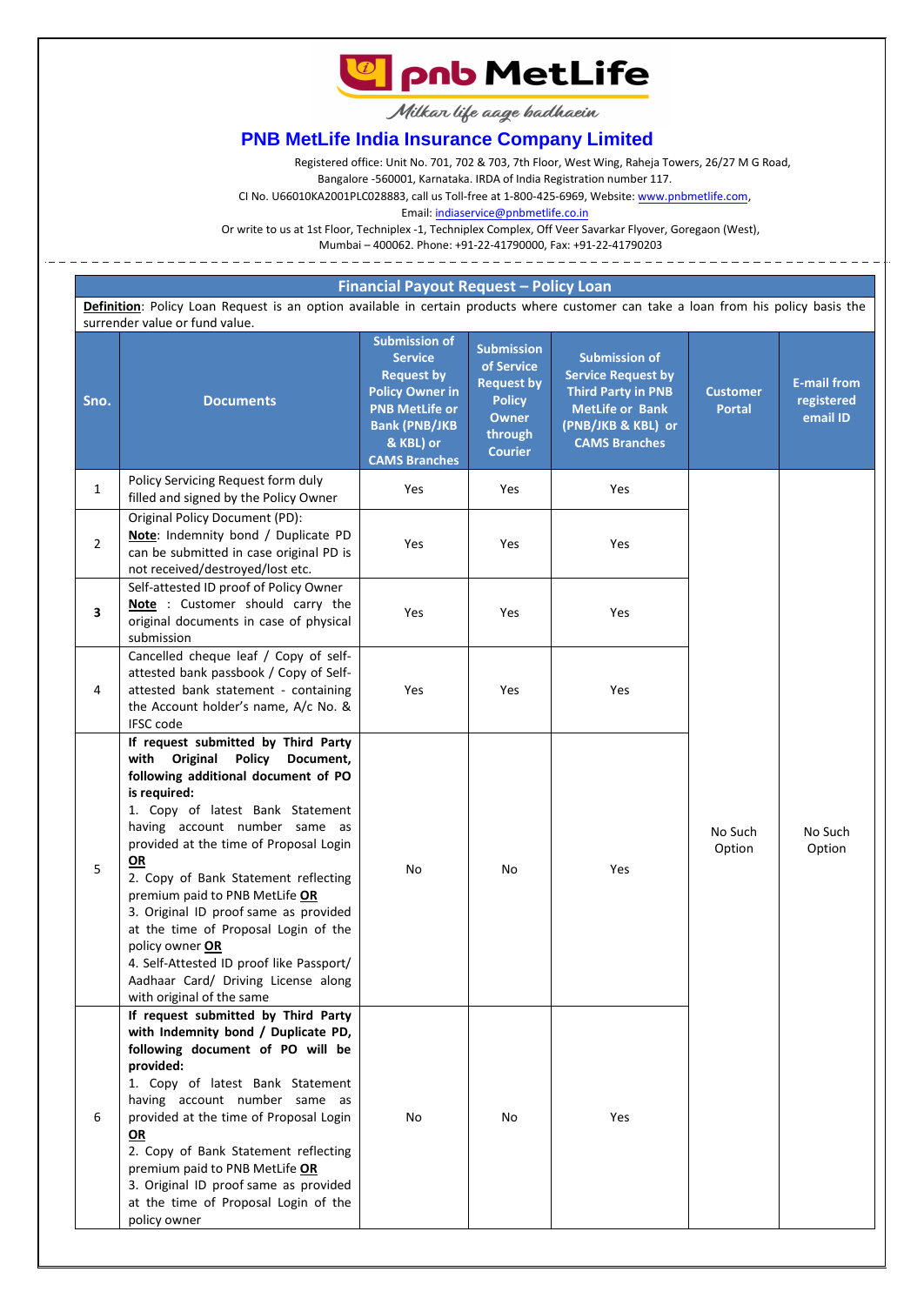**La pnb MetLife** 

Milkar life aage badhaein

# **PNB MetLife India Insurance Company Limited**

Registered office: Unit No. 701, 702 & 703, 7th Floor, West Wing, Raheja Towers, 26/27 M G Road,

Bangalore -560001, Karnataka. IRDA of India Registration number 117.

CI No. U66010KA2001PLC028883, call us Toll-free at 1-800-425-6969, Website: [www.pnbmetlife.com,](http://www.pnbmetlife.com/) 

Email[: indiaservice@pnbmetlife.co.in](mailto:indiaservice@pnbmetlife.co.in)

Or write to us at 1st Floor, Techniplex -1, Techniplex Complex, Off Veer Savarkar Flyover, Goregaon (West),

Mumbai – 400062. Phone: +91-22-41790000, Fax: +91-22-41790203

## **Financial Payout Request – Policy Loan**

**Definition**: Policy Loan Request is an option available in certain products where customer can take a loan from his policy basis the surrender value or fund value.

| Sno.           | <b>Documents</b>                                                                                                                                                                                                                                                                                                                                                                                                                                                                                                                                                | <b>Submission of</b><br><b>Service</b><br><b>Request by</b><br><b>Policy Owner in</b><br><b>PNB MetLife or</b><br><b>Bank (PNB/JKB</b><br>& KBL) or<br><b>CAMS Branches</b> | <b>Submission</b><br>of Service<br><b>Request by</b><br><b>Policy</b><br><b>Owner</b><br>through<br><b>Courier</b> | <b>Submission of</b><br><b>Service Request by</b><br><b>Third Party in PNB</b><br><b>MetLife or Bank</b><br>(PNB/JKB & KBL) or<br><b>CAMS Branches</b> | <b>Customer</b><br><b>Portal</b> | <b>E-mail from</b><br>registered<br>email ID |
|----------------|-----------------------------------------------------------------------------------------------------------------------------------------------------------------------------------------------------------------------------------------------------------------------------------------------------------------------------------------------------------------------------------------------------------------------------------------------------------------------------------------------------------------------------------------------------------------|-----------------------------------------------------------------------------------------------------------------------------------------------------------------------------|--------------------------------------------------------------------------------------------------------------------|--------------------------------------------------------------------------------------------------------------------------------------------------------|----------------------------------|----------------------------------------------|
| $\mathbf{1}$   | Policy Servicing Request form duly<br>filled and signed by the Policy Owner                                                                                                                                                                                                                                                                                                                                                                                                                                                                                     | Yes                                                                                                                                                                         | Yes                                                                                                                | Yes                                                                                                                                                    |                                  |                                              |
| $\overline{2}$ | Original Policy Document (PD):<br>Note: Indemnity bond / Duplicate PD<br>can be submitted in case original PD is<br>not received/destroyed/lost etc.                                                                                                                                                                                                                                                                                                                                                                                                            | Yes                                                                                                                                                                         | Yes                                                                                                                | Yes                                                                                                                                                    |                                  |                                              |
| 3              | Self-attested ID proof of Policy Owner<br>Note : Customer should carry the<br>original documents in case of physical<br>submission                                                                                                                                                                                                                                                                                                                                                                                                                              | Yes                                                                                                                                                                         | Yes                                                                                                                | Yes                                                                                                                                                    | No Such<br>Option                | No Such<br>Option                            |
| 4              | Cancelled cheque leaf / Copy of self-<br>attested bank passbook / Copy of Self-<br>attested bank statement - containing<br>the Account holder's name, A/c No. &<br>IFSC code                                                                                                                                                                                                                                                                                                                                                                                    | Yes                                                                                                                                                                         | Yes                                                                                                                | Yes                                                                                                                                                    |                                  |                                              |
| 5              | If request submitted by Third Party<br>Original<br><b>Policy</b><br>with<br>Document,<br>following additional document of PO<br>is required:<br>1. Copy of latest Bank Statement<br>having account number same as<br>provided at the time of Proposal Login<br>OR<br>2. Copy of Bank Statement reflecting<br>premium paid to PNB MetLife OR<br>3. Original ID proof same as provided<br>at the time of Proposal Login of the<br>policy owner OR<br>4. Self-Attested ID proof like Passport/<br>Aadhaar Card/ Driving License along<br>with original of the same | No                                                                                                                                                                          | No                                                                                                                 | Yes                                                                                                                                                    |                                  |                                              |
| 6              | If request submitted by Third Party<br>with Indemnity bond / Duplicate PD,<br>following document of PO will be<br>provided:<br>1. Copy of latest Bank Statement<br>having account number same as<br>provided at the time of Proposal Login<br>OR<br>2. Copy of Bank Statement reflecting<br>premium paid to PNB MetLife OR<br>3. Original ID proof same as provided<br>at the time of Proposal Login of the<br>policy owner                                                                                                                                     | No                                                                                                                                                                          | No                                                                                                                 | Yes                                                                                                                                                    |                                  |                                              |